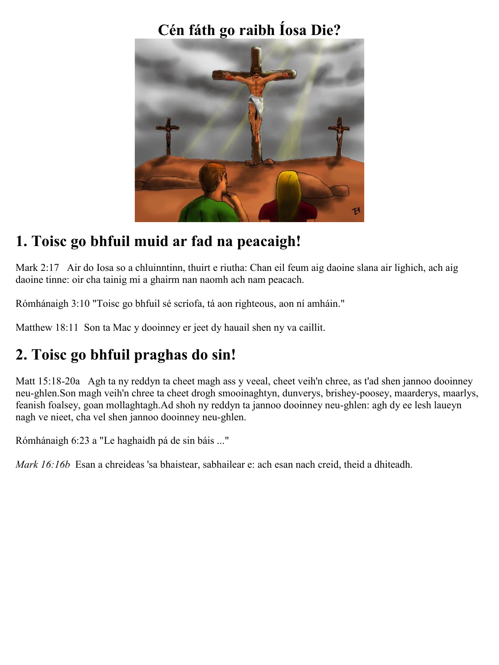## **Cén fáth go raibh Íosa Die?**



### **1. Toisc go bhfuil muid ar fad na peacaigh!**

Mark 2:17 Air do Iosa so a chluinntinn, thuirt e riutha: Chan eil feum aig daoine slana air lighich, ach aig daoine tinne: oir cha tainig mi a ghairm nan naomh ach nam peacach.

Rómhánaigh 3:10 "Toisc go bhfuil sé scríofa, tá aon righteous, aon ní amháin."

Matthew 18:11 Son ta Mac y dooinney er jeet dy hauail shen ny va caillit.

# **2. Toisc go bhfuil praghas do sin!**

Matt 15:18-20a Agh ta ny reddyn ta cheet magh ass y veeal, cheet veih'n chree, as t'ad shen jannoo dooinney neu-ghlen.Son magh veih'n chree ta cheet drogh smooinaghtyn, dunverys, brishey-poosey, maarderys, maarlys, feanish foalsey, goan mollaghtagh.Ad shoh ny reddyn ta jannoo dooinney neu-ghlen: agh dy ee lesh laueyn nagh ve nieet, cha vel shen jannoo dooinney neu-ghlen.

Rómhánaigh 6:23 a "Le haghaidh pá de sin báis ..."

*Mark 16:16b* Esan a chreideas 'sa bhaistear, sabhailear e: ach esan nach creid, theid a dhiteadh.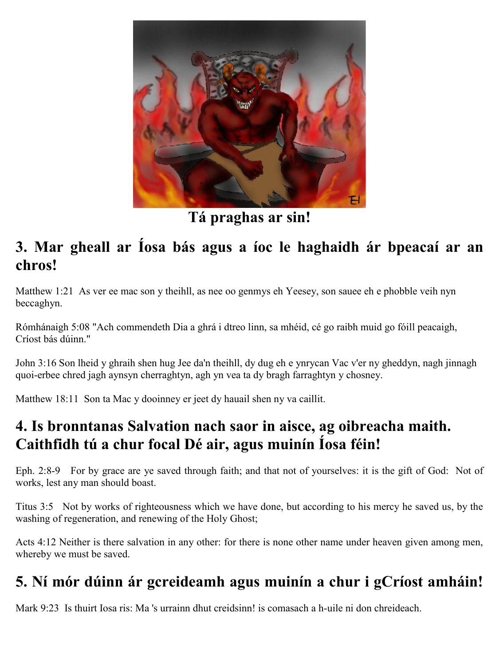

**Tá praghas ar sin!**

#### **3. Mar gheall ar Íosa bás agus a íoc le haghaidh ár bpeacaí ar an chros!**

Matthew 1:21 As ver ee mac son y theihll, as nee oo genmys eh Yeesey, son sauee eh e phobble veih nyn beccaghyn.

Rómhánaigh 5:08 "Ach commendeth Dia a ghrá i dtreo linn, sa mhéid, cé go raibh muid go fóill peacaigh, Críost bás dúinn."

John 3:16 Son lheid y ghraih shen hug Jee da'n theihll, dy dug eh e ynrycan Vac v'er ny gheddyn, nagh jinnagh quoi-erbee chred jagh aynsyn cherraghtyn, agh yn vea ta dy bragh farraghtyn y chosney.

Matthew 18:11 Son ta Mac y dooinney er jeet dy hauail shen ny va caillit.

### **4. Is bronntanas Salvation nach saor in aisce, ag oibreacha maith. Caithfidh tú a chur focal Dé air, agus muinín Íosa féin!**

Eph. 2:8-9 For by grace are ye saved through faith; and that not of yourselves: it is the gift of God: Not of works, lest any man should boast.

Titus 3:5 Not by works of righteousness which we have done, but according to his mercy he saved us, by the washing of regeneration, and renewing of the Holy Ghost;

Acts 4:12 Neither is there salvation in any other: for there is none other name under heaven given among men, whereby we must be saved.

# **5. Ní mór dúinn ár gcreideamh agus muinín a chur i gCríost amháin!**

Mark 9:23 Is thuirt Iosa ris: Ma 's urrainn dhut creidsinn! is comasach a h-uile ni don chreideach.